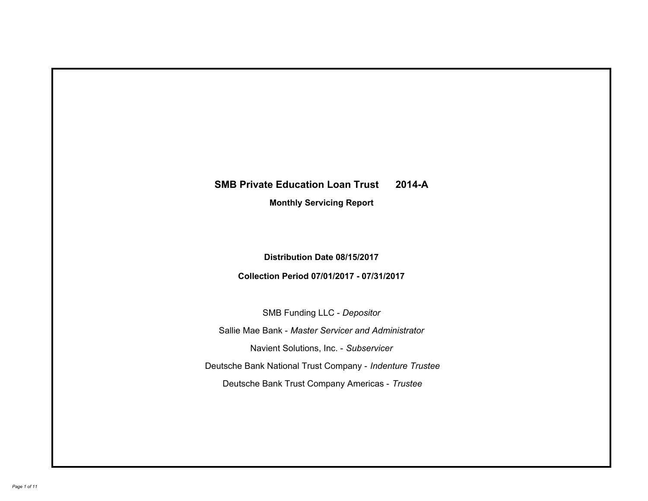# **SMB Private Education Loan Trust 2014-A Monthly Servicing Report**

# **Distribution Date 08/15/2017**

# **Collection Period 07/01/2017 - 07/31/2017**

SMB Funding LLC - *Depositor*

Sallie Mae Bank - *Master Servicer and Administrator*

Navient Solutions, Inc. - *Subservicer*

Deutsche Bank National Trust Company - *Indenture Trustee*

Deutsche Bank Trust Company Americas - *Trustee*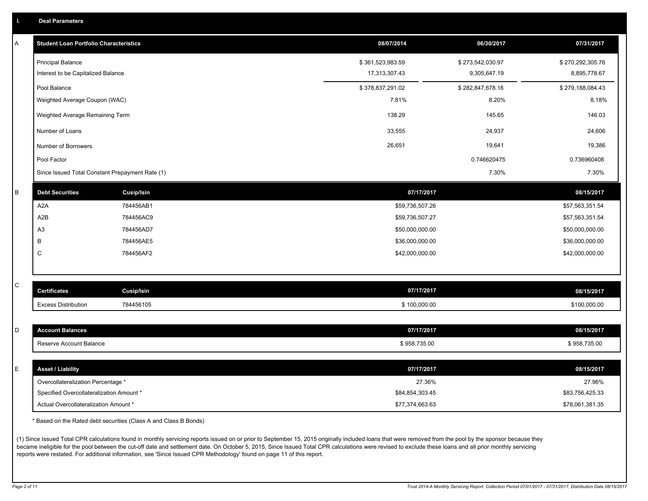|  |  |  | <b>Deal Parameters</b> |  |
|--|--|--|------------------------|--|
|--|--|--|------------------------|--|

| A | <b>Student Loan Portfolio Characteristics</b>   |                   | 08/07/2014       | 06/30/2017       | 07/31/2017       |
|---|-------------------------------------------------|-------------------|------------------|------------------|------------------|
|   | <b>Principal Balance</b>                        |                   | \$361,523,983.59 | \$273,542,030.97 | \$270,292,305.76 |
|   | Interest to be Capitalized Balance              |                   | 17,313,307.43    | 9,305,647.19     | 8,895,778.67     |
|   | Pool Balance                                    |                   | \$378,837,291.02 | \$282,847,678.16 | \$279,188,084.43 |
|   | Weighted Average Coupon (WAC)                   |                   | 7.81%            | 8.20%            | 8.18%            |
|   | Weighted Average Remaining Term                 |                   | 138.29           | 145.65           | 146.03           |
|   | Number of Loans                                 |                   | 33,555           | 24,937           | 24,606           |
|   | Number of Borrowers                             |                   | 26,651           | 19,641           | 19,386           |
|   | Pool Factor                                     |                   |                  | 0.746620475      | 0.736960408      |
|   | Since Issued Total Constant Prepayment Rate (1) |                   |                  | 7.30%            | 7.30%            |
| B | <b>Debt Securities</b>                          | <b>Cusip/Isin</b> | 07/17/2017       |                  | 08/15/2017       |
|   | A2A                                             | 784456AB1         | \$59,736,507.26  |                  | \$57,563,351.54  |
|   | A2B                                             | 784456AC9         | \$59,736,507.27  |                  | \$57,563,351.54  |
|   | A <sub>3</sub>                                  | 784456AD7         | \$50,000,000.00  |                  | \$50,000,000.00  |
|   | В                                               | 784456AE5         | \$36,000,000.00  |                  | \$36,000,000.00  |
|   | C                                               | 784456AF2         | \$42,000,000.00  |                  | \$42,000,000.00  |
|   |                                                 |                   |                  |                  |                  |
| C | <b>Certificates</b>                             | <b>Cusip/Isin</b> | 07/17/2017       |                  | 08/15/2017       |
|   | <b>Excess Distribution</b>                      | 784456105         | \$100,000.00     |                  | \$100,000.00     |
|   |                                                 |                   |                  |                  |                  |
| D | <b>Account Balances</b>                         |                   | 07/17/2017       |                  | 08/15/2017       |
|   | Reserve Account Balance                         |                   | \$958,735.00     |                  | \$958,735.00     |
|   |                                                 |                   |                  |                  |                  |
| E | <b>Asset / Liability</b>                        |                   | 07/17/2017       |                  | 08/15/2017       |
|   | Overcollateralization Percentage *              |                   | 27.36%           |                  | 27.96%           |
|   | Specified Overcollateralization Amount *        |                   | \$84,854,303.45  |                  | \$83,756,425.33  |
|   | Actual Overcollateralization Amount *           |                   | \$77,374,663.63  |                  | \$78,061,381.35  |

\* Based on the Rated debt securities (Class A and Class B Bonds)

(1) Since Issued Total CPR calculations found in monthly servicing reports issued on or prior to September 15, 2015 originally included loans that were removed from the pool by the sponsor because they became ineligible for the pool between the cut-off date and settlement date. On October 5, 2015, Since Issued Total CPR calculations were revised to exclude these loans and all prior monthly servicing reports were restated. For additional information, see 'Since Issued CPR Methodology' found on page 11 of this report.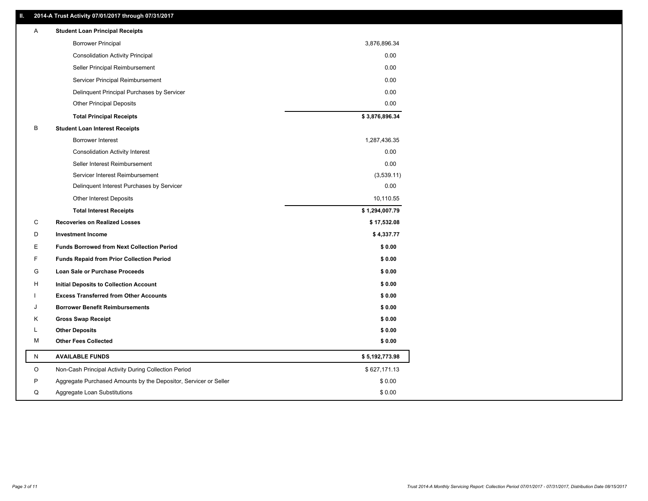### **II. 2014-A Trust Activity 07/01/2017 through 07/31/2017**

| Α  | <b>Student Loan Principal Receipts</b>                           |                |
|----|------------------------------------------------------------------|----------------|
|    | <b>Borrower Principal</b>                                        | 3,876,896.34   |
|    | <b>Consolidation Activity Principal</b>                          | 0.00           |
|    | Seller Principal Reimbursement                                   | 0.00           |
|    | Servicer Principal Reimbursement                                 | 0.00           |
|    | Delinquent Principal Purchases by Servicer                       | 0.00           |
|    | <b>Other Principal Deposits</b>                                  | 0.00           |
|    | <b>Total Principal Receipts</b>                                  | \$3,876,896.34 |
| В  | <b>Student Loan Interest Receipts</b>                            |                |
|    | <b>Borrower Interest</b>                                         | 1,287,436.35   |
|    | <b>Consolidation Activity Interest</b>                           | 0.00           |
|    | Seller Interest Reimbursement                                    | 0.00           |
|    | Servicer Interest Reimbursement                                  | (3,539.11)     |
|    | Delinquent Interest Purchases by Servicer                        | 0.00           |
|    | <b>Other Interest Deposits</b>                                   | 10,110.55      |
|    | <b>Total Interest Receipts</b>                                   | \$1,294,007.79 |
| С  | <b>Recoveries on Realized Losses</b>                             | \$17,532.08    |
| D  | <b>Investment Income</b>                                         | \$4,337.77     |
| E. | <b>Funds Borrowed from Next Collection Period</b>                | \$0.00         |
| F  | <b>Funds Repaid from Prior Collection Period</b>                 | \$0.00         |
| G  | <b>Loan Sale or Purchase Proceeds</b>                            | \$0.00         |
| H  | <b>Initial Deposits to Collection Account</b>                    | \$0.00         |
|    | <b>Excess Transferred from Other Accounts</b>                    | \$0.00         |
|    | <b>Borrower Benefit Reimbursements</b>                           | \$0.00         |
| Κ  | <b>Gross Swap Receipt</b>                                        | \$0.00         |
| L  | <b>Other Deposits</b>                                            | \$0.00         |
| М  | <b>Other Fees Collected</b>                                      | \$0.00         |
| N  | <b>AVAILABLE FUNDS</b>                                           | \$5,192,773.98 |
| O  | Non-Cash Principal Activity During Collection Period             | \$627,171.13   |
| P  | Aggregate Purchased Amounts by the Depositor, Servicer or Seller | \$0.00         |
| Q  | Aggregate Loan Substitutions                                     | \$0.00         |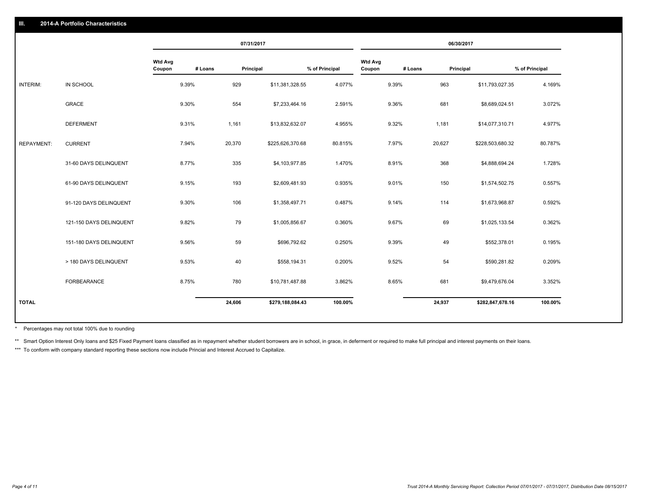|                   |                         |                          |         | 07/31/2017 |                  |                |                          |         | 06/30/2017 |                  |                |
|-------------------|-------------------------|--------------------------|---------|------------|------------------|----------------|--------------------------|---------|------------|------------------|----------------|
|                   |                         | <b>Wtd Avg</b><br>Coupon | # Loans | Principal  |                  | % of Principal | <b>Wtd Avg</b><br>Coupon | # Loans | Principal  |                  | % of Principal |
| INTERIM:          | IN SCHOOL               | 9.39%                    |         | 929        | \$11,381,328.55  | 4.077%         |                          | 9.39%   | 963        | \$11,793,027.35  | 4.169%         |
|                   | GRACE                   | 9.30%                    |         | 554        | \$7,233,464.16   | 2.591%         |                          | 9.36%   | 681        | \$8,689,024.51   | 3.072%         |
|                   | <b>DEFERMENT</b>        | 9.31%                    |         | 1,161      | \$13,832,632.07  | 4.955%         |                          | 9.32%   | 1,181      | \$14,077,310.71  | 4.977%         |
| <b>REPAYMENT:</b> | <b>CURRENT</b>          | 7.94%                    |         | 20,370     | \$225,626,370.68 | 80.815%        |                          | 7.97%   | 20,627     | \$228,503,680.32 | 80.787%        |
|                   | 31-60 DAYS DELINQUENT   | 8.77%                    |         | 335        | \$4,103,977.85   | 1.470%         |                          | 8.91%   | 368        | \$4,888,694.24   | 1.728%         |
|                   | 61-90 DAYS DELINQUENT   | 9.15%                    |         | 193        | \$2,609,481.93   | 0.935%         |                          | 9.01%   | 150        | \$1,574,502.75   | 0.557%         |
|                   | 91-120 DAYS DELINQUENT  | 9.30%                    |         | 106        | \$1,358,497.71   | 0.487%         |                          | 9.14%   | 114        | \$1,673,968.87   | 0.592%         |
|                   | 121-150 DAYS DELINQUENT | 9.82%                    |         | 79         | \$1,005,856.67   | 0.360%         |                          | 9.67%   | 69         | \$1,025,133.54   | 0.362%         |
|                   | 151-180 DAYS DELINQUENT | 9.56%                    |         | 59         | \$696,792.62     | 0.250%         |                          | 9.39%   | 49         | \$552,378.01     | 0.195%         |
|                   | > 180 DAYS DELINQUENT   | 9.53%                    |         | 40         | \$558,194.31     | 0.200%         |                          | 9.52%   | 54         | \$590,281.82     | 0.209%         |
|                   | FORBEARANCE             | 8.75%                    |         | 780        | \$10,781,487.88  | 3.862%         |                          | 8.65%   | 681        | \$9,479,676.04   | 3.352%         |
| <b>TOTAL</b>      |                         |                          |         | 24,606     | \$279,188,084.43 | 100.00%        |                          |         | 24,937     | \$282,847,678.16 | 100.00%        |
|                   |                         |                          |         |            |                  |                |                          |         |            |                  |                |

Percentages may not total 100% due to rounding \*

\*\* Smart Option Interest Only loans and \$25 Fixed Payment loans classified as in repayment whether student borrowers are in school, in grace, in deferment or required to make full principal and interest payments on their l

\*\*\* To conform with company standard reporting these sections now include Princial and Interest Accrued to Capitalize.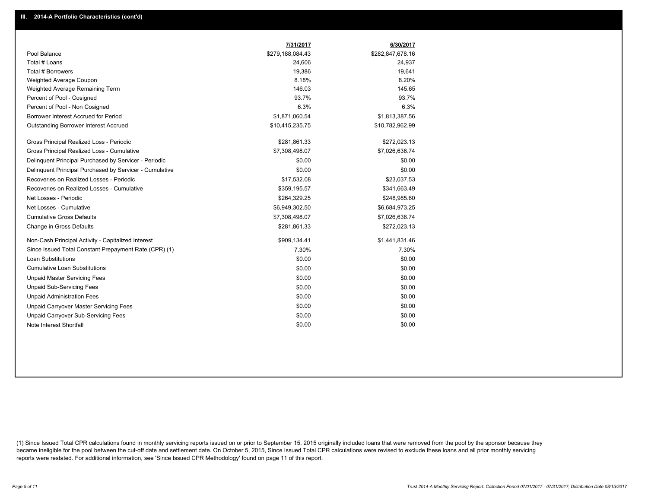|                                                         | 7/31/2017        | 6/30/2017        |
|---------------------------------------------------------|------------------|------------------|
| Pool Balance                                            | \$279,188,084.43 | \$282,847,678.16 |
| Total # Loans                                           | 24,606           | 24,937           |
| Total # Borrowers                                       | 19,386           | 19,641           |
| Weighted Average Coupon                                 | 8.18%            | 8.20%            |
| Weighted Average Remaining Term                         | 146.03           | 145.65           |
| Percent of Pool - Cosigned                              | 93.7%            | 93.7%            |
| Percent of Pool - Non Cosigned                          | 6.3%             | 6.3%             |
| Borrower Interest Accrued for Period                    | \$1,871,060.54   | \$1,813,387.56   |
| Outstanding Borrower Interest Accrued                   | \$10,415,235.75  | \$10,782,962.99  |
| Gross Principal Realized Loss - Periodic                | \$281,861.33     | \$272,023.13     |
| Gross Principal Realized Loss - Cumulative              | \$7,308,498.07   | \$7,026,636.74   |
| Delinquent Principal Purchased by Servicer - Periodic   | \$0.00           | \$0.00           |
| Delinguent Principal Purchased by Servicer - Cumulative | \$0.00           | \$0.00           |
| Recoveries on Realized Losses - Periodic                | \$17,532.08      | \$23,037.53      |
| Recoveries on Realized Losses - Cumulative              | \$359,195.57     | \$341,663.49     |
| Net Losses - Periodic                                   | \$264,329.25     | \$248,985.60     |
| Net Losses - Cumulative                                 | \$6,949,302.50   | \$6,684,973.25   |
| <b>Cumulative Gross Defaults</b>                        | \$7,308,498.07   | \$7,026,636.74   |
| Change in Gross Defaults                                | \$281,861.33     | \$272,023.13     |
| Non-Cash Principal Activity - Capitalized Interest      | \$909,134.41     | \$1,441,831.46   |
| Since Issued Total Constant Prepayment Rate (CPR) (1)   | 7.30%            | 7.30%            |
| <b>Loan Substitutions</b>                               | \$0.00           | \$0.00           |
| <b>Cumulative Loan Substitutions</b>                    | \$0.00           | \$0.00           |
| <b>Unpaid Master Servicing Fees</b>                     | \$0.00           | \$0.00           |
| <b>Unpaid Sub-Servicing Fees</b>                        | \$0.00           | \$0.00           |
| <b>Unpaid Administration Fees</b>                       | \$0.00           | \$0.00           |
| Unpaid Carryover Master Servicing Fees                  | \$0.00           | \$0.00           |
| <b>Unpaid Carryover Sub-Servicing Fees</b>              | \$0.00           | \$0.00           |
| Note Interest Shortfall                                 | \$0.00           | \$0.00           |

(1) Since Issued Total CPR calculations found in monthly servicing reports issued on or prior to September 15, 2015 originally included loans that were removed from the pool by the sponsor because they became ineligible for the pool between the cut-off date and settlement date. On October 5, 2015, Since Issued Total CPR calculations were revised to exclude these loans and all prior monthly servicing reports were restated. For additional information, see 'Since Issued CPR Methodology' found on page 11 of this report.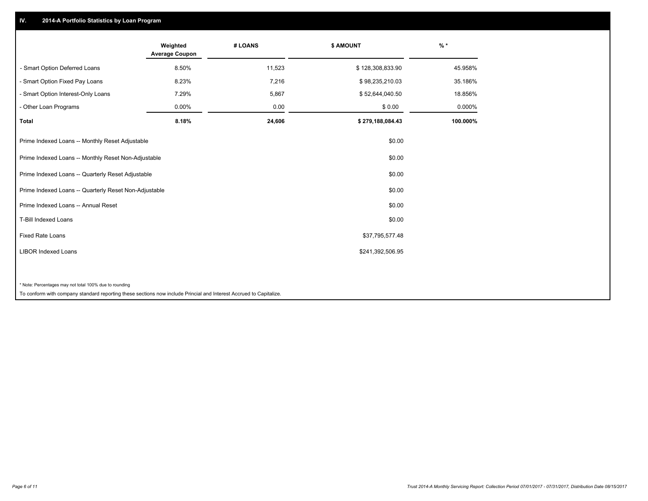## **IV. 2014-A Portfolio Statistics by Loan Program**

|                                                                                                                    | Weighted<br><b>Average Coupon</b> | # LOANS | \$ AMOUNT        | $%$ *    |
|--------------------------------------------------------------------------------------------------------------------|-----------------------------------|---------|------------------|----------|
| - Smart Option Deferred Loans                                                                                      | 8.50%                             | 11,523  | \$128,308,833.90 | 45.958%  |
| - Smart Option Fixed Pay Loans                                                                                     | 8.23%                             | 7,216   | \$98,235,210.03  | 35.186%  |
| - Smart Option Interest-Only Loans                                                                                 | 7.29%                             | 5,867   | \$52,644,040.50  | 18.856%  |
| - Other Loan Programs                                                                                              | 0.00%                             | 0.00    | \$0.00           | 0.000%   |
| <b>Total</b>                                                                                                       | 8.18%                             | 24,606  | \$279,188,084.43 | 100.000% |
| Prime Indexed Loans -- Monthly Reset Adjustable                                                                    |                                   |         | \$0.00           |          |
| Prime Indexed Loans -- Monthly Reset Non-Adjustable                                                                |                                   |         | \$0.00           |          |
| Prime Indexed Loans -- Quarterly Reset Adjustable                                                                  |                                   |         | \$0.00           |          |
| Prime Indexed Loans -- Quarterly Reset Non-Adjustable                                                              |                                   |         | \$0.00           |          |
| Prime Indexed Loans -- Annual Reset                                                                                |                                   |         | \$0.00           |          |
| T-Bill Indexed Loans                                                                                               |                                   |         | \$0.00           |          |
| <b>Fixed Rate Loans</b>                                                                                            |                                   |         | \$37,795,577.48  |          |
| <b>LIBOR Indexed Loans</b>                                                                                         |                                   |         | \$241,392,506.95 |          |
|                                                                                                                    |                                   |         |                  |          |
| * Note: Percentages may not total 100% due to rounding                                                             |                                   |         |                  |          |
| To conform with company standard reporting these sections now include Princial and Interest Accrued to Capitalize. |                                   |         |                  |          |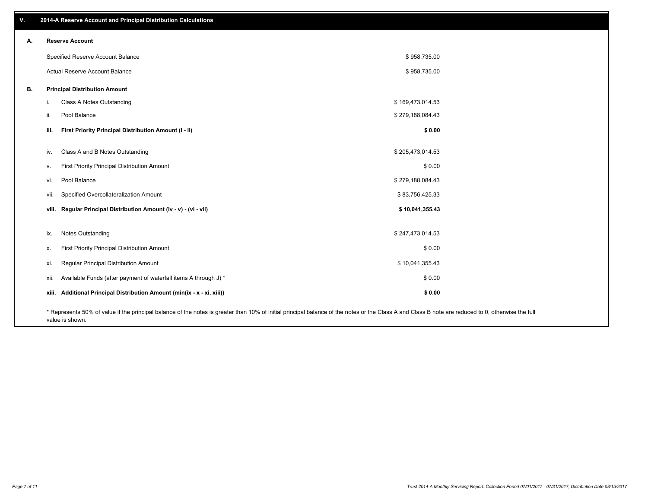| v. | 2014-A Reserve Account and Principal Distribution Calculations           |                                                                                                                                                                                                    |                  |  |
|----|--------------------------------------------------------------------------|----------------------------------------------------------------------------------------------------------------------------------------------------------------------------------------------------|------------------|--|
| А. | <b>Reserve Account</b>                                                   |                                                                                                                                                                                                    |                  |  |
|    | Specified Reserve Account Balance                                        |                                                                                                                                                                                                    | \$958,735.00     |  |
|    | Actual Reserve Account Balance                                           |                                                                                                                                                                                                    | \$958,735.00     |  |
| В. | <b>Principal Distribution Amount</b>                                     |                                                                                                                                                                                                    |                  |  |
|    | Class A Notes Outstanding<br>i.                                          |                                                                                                                                                                                                    | \$169,473,014.53 |  |
|    | Pool Balance<br>ii.                                                      |                                                                                                                                                                                                    | \$279,188,084.43 |  |
|    | First Priority Principal Distribution Amount (i - ii)<br>iii.            |                                                                                                                                                                                                    | \$0.00           |  |
|    | Class A and B Notes Outstanding<br>iv.                                   |                                                                                                                                                                                                    | \$205,473,014.53 |  |
|    | First Priority Principal Distribution Amount<br>v.                       |                                                                                                                                                                                                    | \$0.00           |  |
|    | Pool Balance<br>vi.                                                      |                                                                                                                                                                                                    | \$279,188,084.43 |  |
|    | Specified Overcollateralization Amount<br>vii.                           |                                                                                                                                                                                                    | \$83,756,425.33  |  |
|    | viii. Regular Principal Distribution Amount (iv - v) - (vi - vii)        |                                                                                                                                                                                                    | \$10,041,355.43  |  |
|    | Notes Outstanding<br>ix.                                                 |                                                                                                                                                                                                    | \$247,473,014.53 |  |
|    | First Priority Principal Distribution Amount<br>Х.                       |                                                                                                                                                                                                    | \$0.00           |  |
|    | Regular Principal Distribution Amount<br>xi.                             |                                                                                                                                                                                                    | \$10,041,355.43  |  |
|    | Available Funds (after payment of waterfall items A through J) *<br>xii. |                                                                                                                                                                                                    | \$0.00           |  |
|    | xiii. Additional Principal Distribution Amount (min(ix - x - xi, xiii))  |                                                                                                                                                                                                    | \$0.00           |  |
|    |                                                                          | * Represents 50% of value if the principal balance of the notes is greater than 10% of initial principal balance of the notes or the Class A and Class B note are reduced to 0, otherwise the full |                  |  |

value is shown.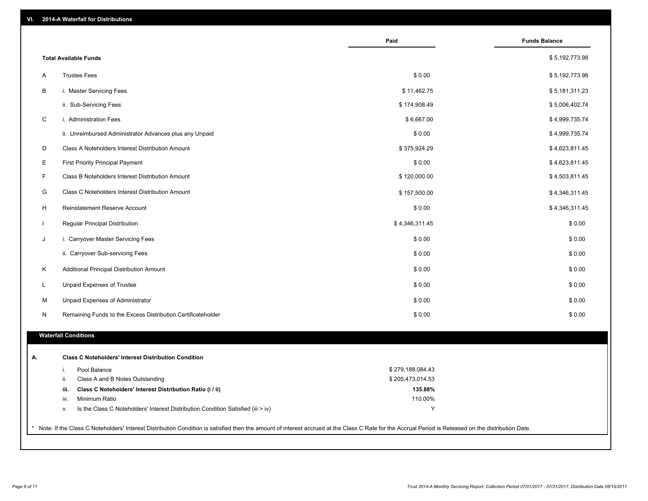| VI.<br>2014-A Waterfall for Distributions |  |
|-------------------------------------------|--|
|-------------------------------------------|--|

|              |                                                                                        | Paid             | <b>Funds Balance</b> |
|--------------|----------------------------------------------------------------------------------------|------------------|----------------------|
|              | <b>Total Available Funds</b>                                                           |                  | \$5,192,773.98       |
| A            | <b>Trustee Fees</b>                                                                    | \$0.00           | \$5,192,773.98       |
| B            | i. Master Servicing Fees                                                               | \$11,462.75      | \$5,181,311.23       |
|              | ii. Sub-Servicing Fees                                                                 | \$174,908.49     | \$5,006,402.74       |
| C            | i. Administration Fees                                                                 | \$6,667.00       | \$4,999,735.74       |
|              | ii. Unreimbursed Administrator Advances plus any Unpaid                                | \$0.00           | \$4,999,735.74       |
| D            | Class A Noteholders Interest Distribution Amount                                       | \$375,924.29     | \$4,623,811.45       |
|              |                                                                                        |                  |                      |
| E            | <b>First Priority Principal Payment</b>                                                | \$0.00           | \$4,623,811.45       |
| F            | Class B Noteholders Interest Distribution Amount                                       | \$120,000.00     | \$4,503,811.45       |
| G            | Class C Noteholders Interest Distribution Amount                                       | \$157,500.00     | \$4,346,311.45       |
| H            | <b>Reinstatement Reserve Account</b>                                                   | \$0.00           | \$4,346,311.45       |
| $\mathbf{I}$ | Regular Principal Distribution                                                         | \$4,346,311.45   | \$0.00               |
| J            | i. Carryover Master Servicing Fees                                                     | \$0.00           | \$0.00               |
|              | ii. Carryover Sub-servicing Fees                                                       | \$0.00           | \$0.00               |
| K            | Additional Principal Distribution Amount                                               | \$0.00           | \$0.00               |
| L            | Unpaid Expenses of Trustee                                                             | \$0.00           | \$0.00               |
| M            | Unpaid Expenses of Administrator                                                       | \$0.00           | \$0.00               |
| N            | Remaining Funds to the Excess Distribution Certificateholder                           | \$0.00           | \$0.00               |
|              | <b>Waterfall Conditions</b>                                                            |                  |                      |
|              | <b>Class C Noteholders' Interest Distribution Condition</b>                            |                  |                      |
|              | Pool Balance<br>i.                                                                     | \$279,188,084.43 |                      |
|              | ii.<br>Class A and B Notes Outstanding                                                 | \$205,473,014.53 |                      |
|              | Class C Noteholders' Interest Distribution Ratio (i / ii)<br>iii.                      | 135.88%          |                      |
|              | Minimum Ratio<br>iv.                                                                   | 110.00%          |                      |
|              | Is the Class C Noteholders' Interest Distribution Condition Satisfied (iii > iv)<br>v. | Y                |                      |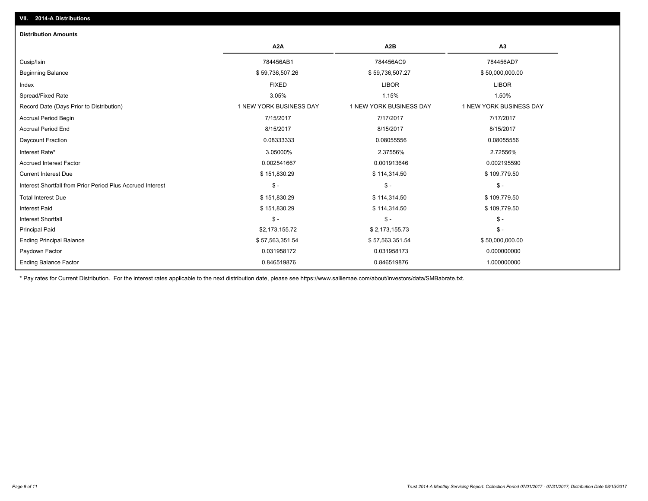| <b>Distribution Amounts</b>                                |                         |                         |                                |
|------------------------------------------------------------|-------------------------|-------------------------|--------------------------------|
|                                                            | A <sub>2</sub> A        | A <sub>2</sub> B        | A <sub>3</sub>                 |
| Cusip/Isin                                                 | 784456AB1               | 784456AC9               | 784456AD7                      |
| <b>Beginning Balance</b>                                   | \$59,736,507.26         | \$59,736,507.27         | \$50,000,000.00                |
| Index                                                      | <b>FIXED</b>            | <b>LIBOR</b>            | <b>LIBOR</b>                   |
| Spread/Fixed Rate                                          | 3.05%                   | 1.15%                   | 1.50%                          |
| Record Date (Days Prior to Distribution)                   | 1 NEW YORK BUSINESS DAY | 1 NEW YORK BUSINESS DAY | <b>1 NEW YORK BUSINESS DAY</b> |
| <b>Accrual Period Begin</b>                                | 7/15/2017               | 7/17/2017               | 7/17/2017                      |
| <b>Accrual Period End</b>                                  | 8/15/2017               | 8/15/2017               | 8/15/2017                      |
| Daycount Fraction                                          | 0.08333333              | 0.08055556              | 0.08055556                     |
| Interest Rate*                                             | 3.05000%                | 2.37556%                | 2.72556%                       |
| <b>Accrued Interest Factor</b>                             | 0.002541667             | 0.001913646             | 0.002195590                    |
| <b>Current Interest Due</b>                                | \$151,830.29            | \$114,314.50            | \$109,779.50                   |
| Interest Shortfall from Prior Period Plus Accrued Interest | $\mathsf{\$}$ -         | $S -$                   | $\mathsf{\$}$ -                |
| <b>Total Interest Due</b>                                  | \$151,830.29            | \$114,314.50            | \$109,779.50                   |
| <b>Interest Paid</b>                                       | \$151,830.29            | \$114,314.50            | \$109,779.50                   |
| <b>Interest Shortfall</b>                                  | $S -$                   | $S -$                   | $\mathcal{S}$ -                |
| <b>Principal Paid</b>                                      | \$2,173,155.72          | \$2,173,155.73          | $\mathcal{S}$ -                |
| <b>Ending Principal Balance</b>                            | \$57,563,351.54         | \$57,563,351.54         | \$50,000,000.00                |
| Paydown Factor                                             | 0.031958172             | 0.031958173             | 0.000000000                    |
| <b>Ending Balance Factor</b>                               | 0.846519876             | 0.846519876             | 1.000000000                    |

\* Pay rates for Current Distribution. For the interest rates applicable to the next distribution date, please see https://www.salliemae.com/about/investors/data/SMBabrate.txt.

**VII. 2014-A Distributions**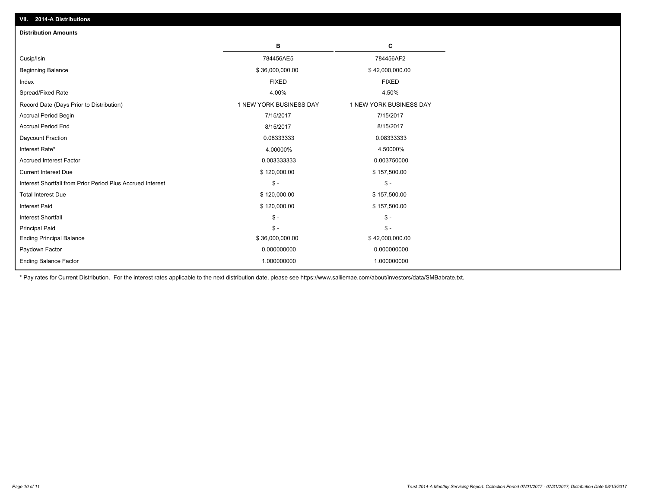| <b>Distribution Amounts</b>                                |                         |                         |
|------------------------------------------------------------|-------------------------|-------------------------|
|                                                            | в                       | C                       |
| Cusip/Isin                                                 | 784456AE5               | 784456AF2               |
| <b>Beginning Balance</b>                                   | \$36,000,000.00         | \$42,000,000.00         |
| Index                                                      | <b>FIXED</b>            | <b>FIXED</b>            |
| Spread/Fixed Rate                                          | 4.00%                   | 4.50%                   |
| Record Date (Days Prior to Distribution)                   | 1 NEW YORK BUSINESS DAY | 1 NEW YORK BUSINESS DAY |
| <b>Accrual Period Begin</b>                                | 7/15/2017               | 7/15/2017               |
| <b>Accrual Period End</b>                                  | 8/15/2017               | 8/15/2017               |
| Daycount Fraction                                          | 0.08333333              | 0.08333333              |
| Interest Rate*                                             | 4.00000%                | 4.50000%                |
| <b>Accrued Interest Factor</b>                             | 0.003333333             | 0.003750000             |
| <b>Current Interest Due</b>                                | \$120,000.00            | \$157,500.00            |
| Interest Shortfall from Prior Period Plus Accrued Interest | $\mathsf{\$}$ -         | $\mathsf{\$}$ -         |
| <b>Total Interest Due</b>                                  | \$120,000.00            | \$157,500.00            |
| <b>Interest Paid</b>                                       | \$120,000.00            | \$157,500.00            |
| <b>Interest Shortfall</b>                                  | $\mathsf{\$}$ -         | $\mathsf{\$}$ -         |
| <b>Principal Paid</b>                                      | $\mathsf{\$}$ -         | $\mathsf{\$}$ -         |
| <b>Ending Principal Balance</b>                            | \$36,000,000.00         | \$42,000,000.00         |
| Paydown Factor                                             | 0.000000000             | 0.000000000             |
| <b>Ending Balance Factor</b>                               | 1.000000000             | 1.000000000             |

\* Pay rates for Current Distribution. For the interest rates applicable to the next distribution date, please see https://www.salliemae.com/about/investors/data/SMBabrate.txt.

**VII. 2014-A Distributions**